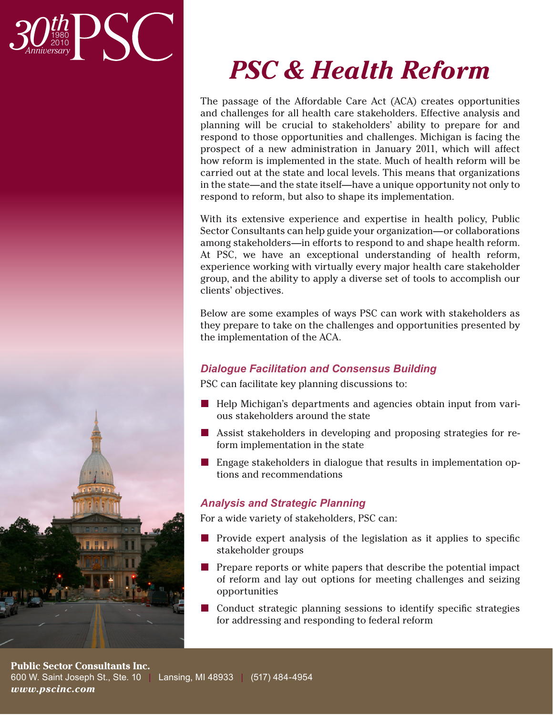



The passage of the Affordable Care Act (ACA) creates opportunities and challenges for all health care stakeholders. Effective analysis and planning will be crucial to stakeholders' ability to prepare for and respond to those opportunities and challenges. Michigan is facing the prospect of a new administration in January 2011, which will affect how reform is implemented in the state. Much of health reform will be carried out at the state and local levels. This means that organizations in the state—and the state itself—have a unique opportunity not only to respond to reform, but also to shape its implementation.

With its extensive experience and expertise in health policy, Public Sector Consultants can help guide your organization—or collaborations among stakeholders—in efforts to respond to and shape health reform. At PSC, we have an exceptional understanding of health reform, experience working with virtually every major health care stakeholder group, and the ability to apply a diverse set of tools to accomplish our clients' objectives.

Below are some examples of ways PSC can work with stakeholders as they prepare to take on the challenges and opportunities presented by the implementation of the ACA.

# *Dialogue Facilitation and Consensus Building*

PSC can facilitate key planning discussions to:

- Help Michigan's departments and agencies obtain input from various stakeholders around the state
- Assist stakeholders in developing and proposing strategies for reform implementation in the state
- Engage stakeholders in dialogue that results in implementation options and recommendations

# *Analysis and Strategic Planning*

For a wide variety of stakeholders, PSC can:

- **Provide expert analysis of the legislation as it applies to specific** stakeholder groups
- $\blacksquare$  Prepare reports or white papers that describe the potential impact of reform and lay out options for meeting challenges and seizing opportunities
- Conduct strategic planning sessions to identify specific strategies for addressing and responding to federal reform